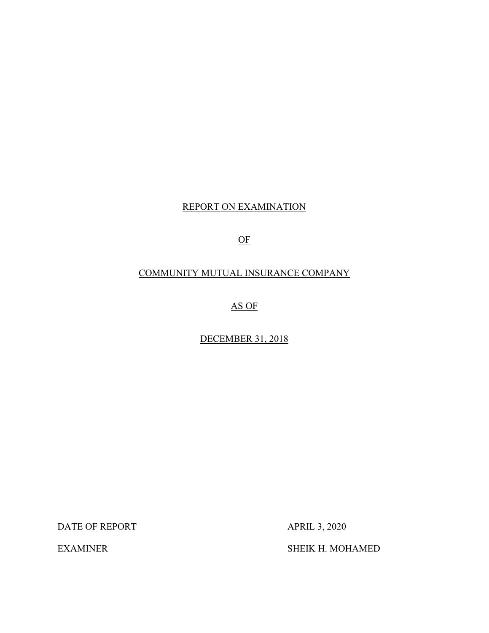## REPORT ON EXAMINATION

OF

## COMMUNITY MUTUAL INSURANCE COMPANY

AS OF

DECEMBER 31, 2018

DATE OF REPORT APRIL 3, 2020

**EXAMINER** 

SHEIK H. MOHAMED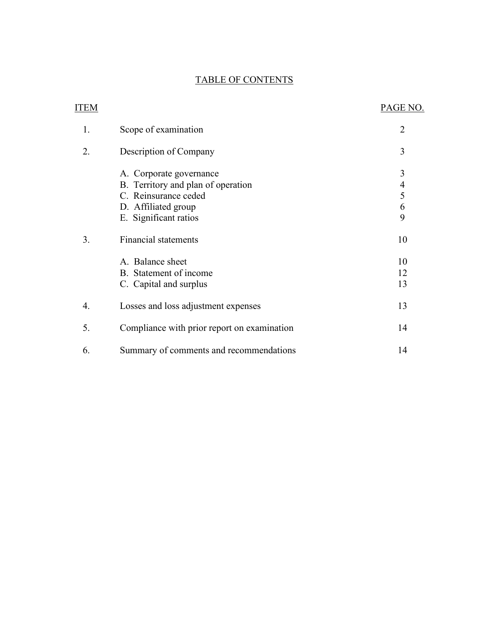## TABLE OF CONTENTS

| <b>ITEM</b> |                                             | PAGE NO.       |
|-------------|---------------------------------------------|----------------|
| 1.          | Scope of examination                        | $\overline{2}$ |
| 2.          | Description of Company                      | 3              |
|             | A. Corporate governance                     | 3              |
|             | B. Territory and plan of operation          |                |
|             | C. Reinsurance ceded                        | $\frac{4}{5}$  |
|             | D. Affiliated group                         | 6              |
|             | E. Significant ratios                       | 9              |
| 3.          | <b>Financial statements</b>                 | 10             |
|             | A. Balance sheet                            | 10             |
|             | B. Statement of income                      | 12             |
|             | C. Capital and surplus                      | 13             |
| 4.          | Losses and loss adjustment expenses         | 13             |
| 5.          | Compliance with prior report on examination | 14             |
| 6.          | Summary of comments and recommendations     | 14             |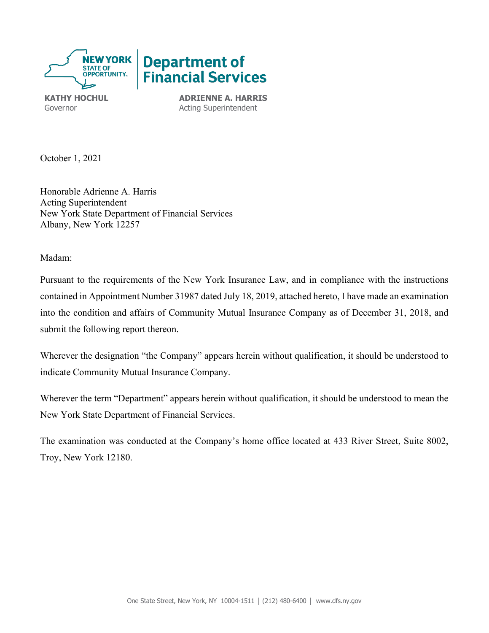

**KATHY HOCHUL ADRIENNE A. HARRIS** Governor **Acting Superintendent** 

October 1, 2021

Honorable Adrienne A. Harris Acting Superintendent New York State Department of Financial Services Albany, New York 12257

Madam:

 contained in Appointment Number 31987 dated July 18, 2019, attached hereto, I have made an examination Pursuant to the requirements of the New York Insurance Law, and in compliance with the instructions into the condition and affairs of Community Mutual Insurance Company as of December 31, 2018, and submit the following report thereon.

Wherever the designation "the Company" appears herein without qualification, it should be understood to indicate Community Mutual Insurance Company.

Wherever the term "Department" appears herein without qualification, it should be understood to mean the New York State Department of Financial Services.

The examination was conducted at the Company's home office located at 433 River Street, Suite 8002, Troy, New York 12180.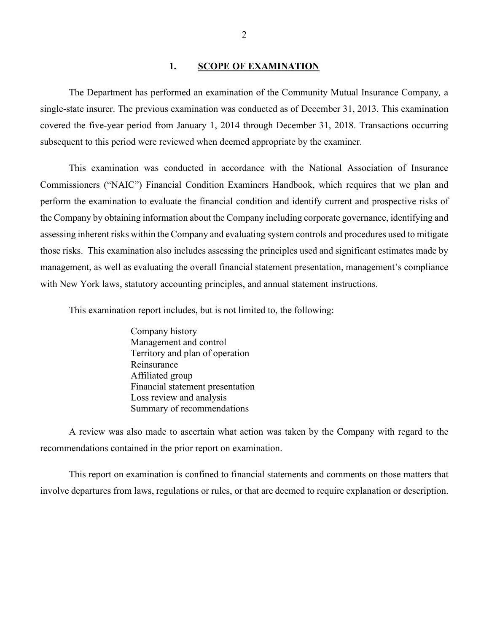#### **1. SCOPE OF EXAMINATION**

<span id="page-3-0"></span>The Department has performed an examination of the Community Mutual Insurance Company*,* a single-state insurer. The previous examination was conducted as of December 31, 2013. This examination covered the five-year period from January 1, 2014 through December 31, 2018. Transactions occurring subsequent to this period were reviewed when deemed appropriate by the examiner.

 those risks. This examination also includes assessing the principles used and significant estimates made by with New York laws, statutory accounting principles, and annual statement instructions. This examination was conducted in accordance with the National Association of Insurance Commissioners ("NAIC") Financial Condition Examiners Handbook, which requires that we plan and perform the examination to evaluate the financial condition and identify current and prospective risks of the Company by obtaining information about the Company including corporate governance, identifying and assessing inherent risks within the Company and evaluating system controls and procedures used to mitigate management, as well as evaluating the overall financial statement presentation, management's compliance

This examination report includes, but is not limited to, the following:

Company history Management and control Territory and plan of operation Reinsurance Affiliated group Financial statement presentation Loss review and analysis Summary of recommendations

A review was also made to ascertain what action was taken by the Company with regard to the recommendations contained in the prior report on examination.

 This report on examination is confined to financial statements and comments on those matters that involve departures from laws, regulations or rules, or that are deemed to require explanation or description.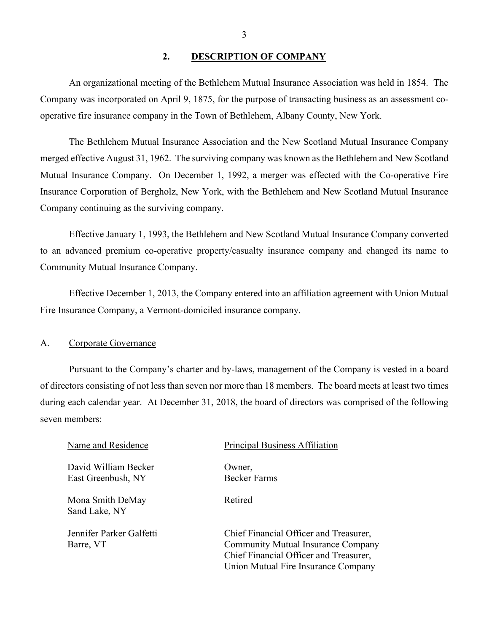#### <span id="page-4-0"></span>**2. DESCRIPTION OF COMPANY**

An organizational meeting of the Bethlehem Mutual Insurance Association was held in 1854. The Company was incorporated on April 9, 1875, for the purpose of transacting business as an assessment cooperative fire insurance company in the Town of Bethlehem, Albany County, New York.

 Mutual Insurance Company. On December 1, 1992, a merger was effected with the Co-operative Fire The Bethlehem Mutual Insurance Association and the New Scotland Mutual Insurance Company merged effective August 31, 1962. The surviving company was known as the Bethlehem and New Scotland Insurance Corporation of Bergholz, New York, with the Bethlehem and New Scotland Mutual Insurance Company continuing as the surviving company.

Effective January 1, 1993, the Bethlehem and New Scotland Mutual Insurance Company converted to an advanced premium co-operative property/casualty insurance company and changed its name to Community Mutual Insurance Company.

Effective December 1, 2013, the Company entered into an affiliation agreement with Union Mutual Fire Insurance Company, a Vermont-domiciled insurance company.

#### <span id="page-4-1"></span>A. Corporate Governance

 during each calendar year. At December 31, 2018, the board of directors was comprised of the following seven members: Pursuant to the Company's charter and by-laws, management of the Company is vested in a board of directors consisting of not less than seven nor more than 18 members. The board meets at least two times

David William Becker **Owner**, East Greenbush, NY Becker Farms

Mona Smith DeMay Retired Sand Lake, NY

#### Name and Residence Principal Business Affiliation

Jennifer Parker Galfetti Chief Financial Officer and Treasurer, Barre, VT Community Mutual Insurance Company Chief Financial Officer and Treasurer, Union Mutual Fire Insurance Company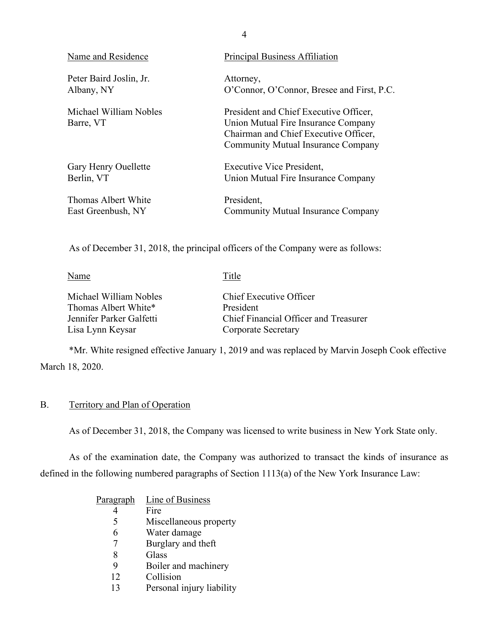| Name and Residence                  | <b>Principal Business Affiliation</b>                                                                                                                               |
|-------------------------------------|---------------------------------------------------------------------------------------------------------------------------------------------------------------------|
| Peter Baird Joslin, Jr.             | Attorney,                                                                                                                                                           |
| Albany, NY                          | O'Connor, O'Connor, Bresee and First, P.C.                                                                                                                          |
| Michael William Nobles<br>Barre, VT | President and Chief Executive Officer,<br>Union Mutual Fire Insurance Company<br>Chairman and Chief Executive Officer,<br><b>Community Mutual Insurance Company</b> |
| Gary Henry Ouellette                | Executive Vice President,                                                                                                                                           |
| Berlin, VT                          | Union Mutual Fire Insurance Company                                                                                                                                 |
| Thomas Albert White                 | President,                                                                                                                                                          |
| East Greenbush, NY                  | <b>Community Mutual Insurance Company</b>                                                                                                                           |

As of December 31, 2018, the principal officers of the Company were as follows:

| Name                     | Title                                 |
|--------------------------|---------------------------------------|
| Michael William Nobles   | Chief Executive Officer               |
| Thomas Albert White*     | President                             |
| Jennifer Parker Galfetti | Chief Financial Officer and Treasurer |
| Lisa Lynn Keysar         | <b>Corporate Secretary</b>            |

<span id="page-5-0"></span>\*Mr. White resigned effective January 1, 2019 and was replaced by Marvin Joseph Cook effective March 18, 2020.

# B. Territory and Plan of Operation

As of December 31, 2018, the Company was licensed to write business in New York State only.

As of the examination date, the Company was authorized to transact the kinds of insurance as defined in the following numbered paragraphs of Section 1113(a) of the New York Insurance Law:

| Paragraph | Line of Business          |
|-----------|---------------------------|
|           | Fire                      |
| 5         | Miscellaneous property    |
| 6         | Water damage              |
|           | Burglary and theft        |
| 8         | Glass                     |
| 9         | Boiler and machinery      |
| 12        | Collision                 |
| 13        | Personal injury liability |

4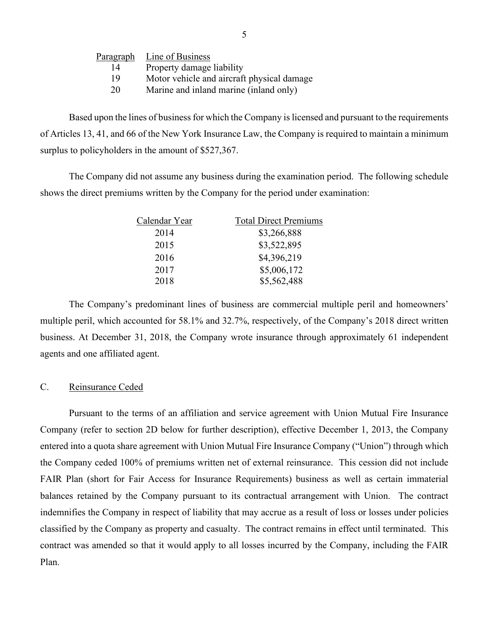| Line of Business                           |
|--------------------------------------------|
| Property damage liability                  |
| Motor vehicle and aircraft physical damage |
| Marine and inland marine (inland only)     |
|                                            |

 of Articles 13, 41, and 66 of the New York Insurance Law, the Company is required to maintain a minimum surplus to policyholders in the amount of \$527,367. Based upon the lines of business for which the Company is licensed and pursuant to the requirements

The Company did not assume any business during the examination period. The following schedule shows the direct premiums written by the Company for the period under examination:

| Calendar Year | <b>Total Direct Premiums</b> |
|---------------|------------------------------|
| 2014          | \$3,266,888                  |
| 2015          | \$3,522,895                  |
| 2016          | \$4,396,219                  |
| 2017          | \$5,006,172                  |
| 2018          | \$5,562,488                  |

The Company's predominant lines of business are commercial multiple peril and homeowners' multiple peril, which accounted for 58.1% and 32.7%, respectively, of the Company's 2018 direct written business. At December 31, 2018, the Company wrote insurance through approximately 61 independent agents and one affiliated agent.

#### <span id="page-6-0"></span>C. Reinsurance Ceded

 Pursuant to the terms of an affiliation and service agreement with Union Mutual Fire Insurance balances retained by the Company pursuant to its contractual arrangement with Union. The contract indemnifies the Company in respect of liability that may accrue as a result of loss or losses under policies Company (refer to section 2D below for further description), effective December 1, 2013, the Company entered into a quota share agreement with Union Mutual Fire Insurance Company ("Union") through which the Company ceded 100% of premiums written net of external reinsurance. This cession did not include FAIR Plan (short for Fair Access for Insurance Requirements) business as well as certain immaterial classified by the Company as property and casualty. The contract remains in effect until terminated. This contract was amended so that it would apply to all losses incurred by the Company, including the FAIR Plan.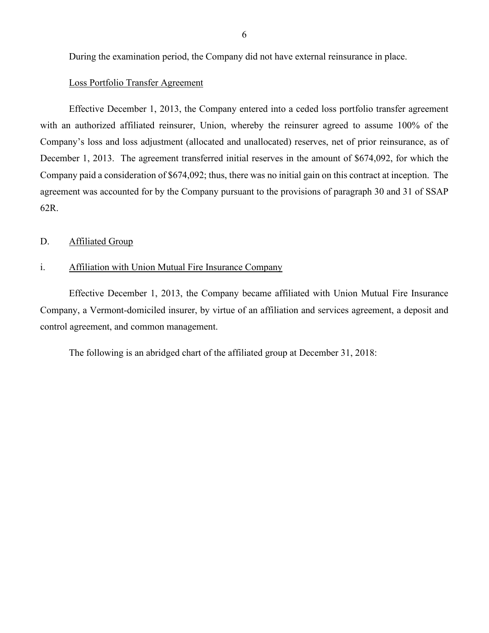During the examination period, the Company did not have external reinsurance in place.

#### Loss Portfolio Transfer Agreement

 Effective December 1, 2013, the Company entered into a ceded loss portfolio transfer agreement with an authorized affiliated reinsurer, Union, whereby the reinsurer agreed to assume 100% of the agreement was accounted for by the Company pursuant to the provisions of paragraph 30 and 31 of SSAP Company's loss and loss adjustment (allocated and unallocated) reserves, net of prior reinsurance, as of December 1, 2013. The agreement transferred initial reserves in the amount of \$674,092, for which the Company paid a consideration of \$674,092; thus, there was no initial gain on this contract at inception. The 62R.

#### <span id="page-7-0"></span>D. Affiliated Group

#### i. Affiliation with Union Mutual Fire Insurance Company

Effective December 1, 2013, the Company became affiliated with Union Mutual Fire Insurance Company, a Vermont-domiciled insurer, by virtue of an affiliation and services agreement, a deposit and control agreement, and common management.

The following is an abridged chart of the affiliated group at December 31, 2018: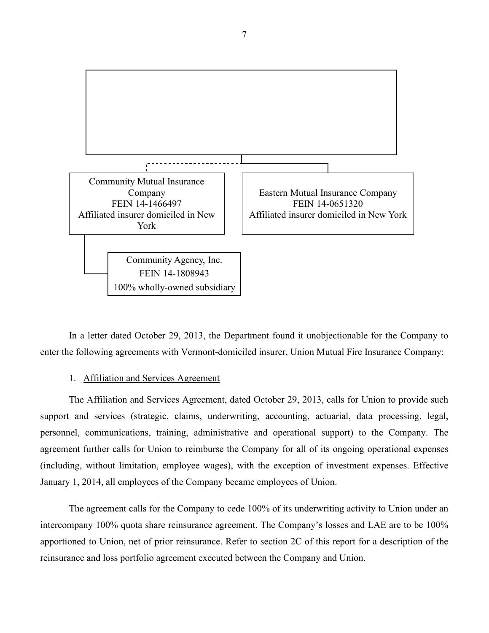

 enter the following agreements with Vermont-domiciled insurer, Union Mutual Fire Insurance Company: In a letter dated October 29, 2013, the Department found it unobjectionable for the Company to

#### 1. Affiliation and Services Agreement

 January 1, 2014, all employees of the Company became employees of Union. The Affiliation and Services Agreement, dated October 29, 2013, calls for Union to provide such support and services (strategic, claims, underwriting, accounting, actuarial, data processing, legal, personnel, communications, training, administrative and operational support) to the Company. The agreement further calls for Union to reimburse the Company for all of its ongoing operational expenses (including, without limitation, employee wages), with the exception of investment expenses. Effective

 intercompany 100% quota share reinsurance agreement. The Company's losses and LAE are to be 100% The agreement calls for the Company to cede 100% of its underwriting activity to Union under an apportioned to Union, net of prior reinsurance. Refer to section 2C of this report for a description of the reinsurance and loss portfolio agreement executed between the Company and Union.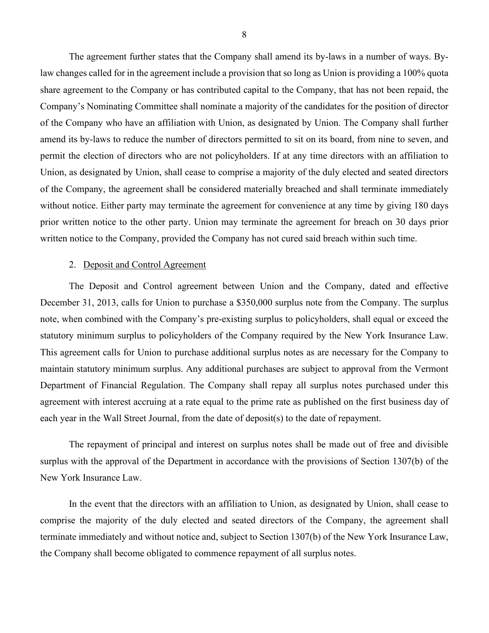law changes called for in the agreement include a provision that so long as Union is providing a 100% quota Company's Nominating Committee shall nominate a majority of the candidates for the position of director permit the election of directors who are not policyholders. If at any time directors with an affiliation to without notice. Either party may terminate the agreement for convenience at any time by giving 180 days The agreement further states that the Company shall amend its by-laws in a number of ways. Byshare agreement to the Company or has contributed capital to the Company, that has not been repaid, the of the Company who have an affiliation with Union, as designated by Union. The Company shall further amend its by-laws to reduce the number of directors permitted to sit on its board, from nine to seven, and Union, as designated by Union, shall cease to comprise a majority of the duly elected and seated directors of the Company, the agreement shall be considered materially breached and shall terminate immediately prior written notice to the other party. Union may terminate the agreement for breach on 30 days prior written notice to the Company, provided the Company has not cured said breach within such time.

#### 2. Deposit and Control Agreement

 agreement with interest accruing at a rate equal to the prime rate as published on the first business day of The Deposit and Control agreement between Union and the Company, dated and effective December 31, 2013, calls for Union to purchase a \$350,000 surplus note from the Company. The surplus note, when combined with the Company's pre-existing surplus to policyholders, shall equal or exceed the statutory minimum surplus to policyholders of the Company required by the New York Insurance Law. This agreement calls for Union to purchase additional surplus notes as are necessary for the Company to maintain statutory minimum surplus. Any additional purchases are subject to approval from the Vermont Department of Financial Regulation. The Company shall repay all surplus notes purchased under this each year in the Wall Street Journal, from the date of deposit(s) to the date of repayment.

The repayment of principal and interest on surplus notes shall be made out of free and divisible surplus with the approval of the Department in accordance with the provisions of Section 1307(b) of the New York Insurance Law.

 comprise the majority of the duly elected and seated directors of the Company, the agreement shall In the event that the directors with an affiliation to Union, as designated by Union, shall cease to terminate immediately and without notice and, subject to Section 1307(b) of the New York Insurance Law, the Company shall become obligated to commence repayment of all surplus notes.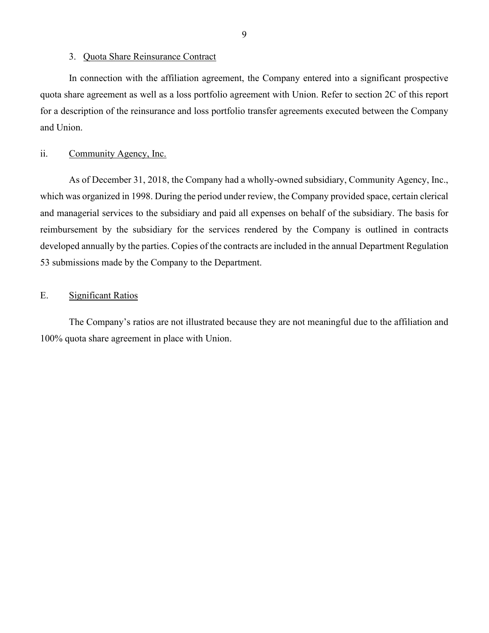#### 3. Quota Share Reinsurance Contract

 In connection with the affiliation agreement, the Company entered into a significant prospective quota share agreement as well as a loss portfolio agreement with Union. Refer to section 2C of this report for a description of the reinsurance and loss portfolio transfer agreements executed between the Company and Union.

## ii. Community Agency, Inc.

 53 submissions made by the Company to the Department. As of December 31, 2018, the Company had a wholly-owned subsidiary, Community Agency, Inc., which was organized in 1998. During the period under review, the Company provided space, certain clerical and managerial services to the subsidiary and paid all expenses on behalf of the subsidiary. The basis for reimbursement by the subsidiary for the services rendered by the Company is outlined in contracts developed annually by the parties. Copies of the contracts are included in the annual Department Regulation

## E. Significant Ratios

<span id="page-10-0"></span> 100% quota share agreement in place with Union. The Company's ratios are not illustrated because they are not meaningful due to the affiliation and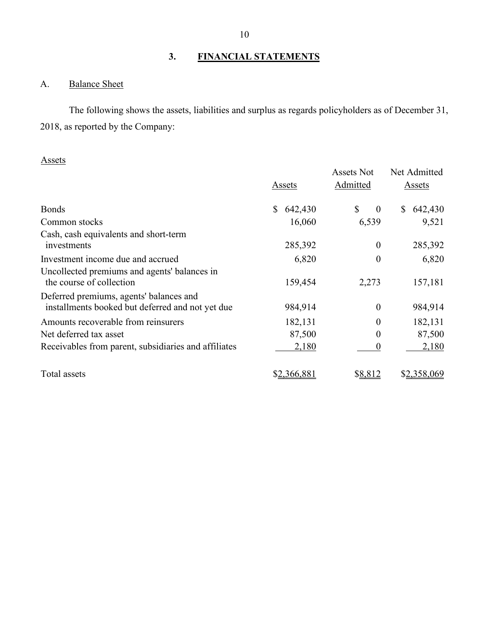## <span id="page-11-0"></span>**3. FINANCIAL STATEMENTS**

## <span id="page-11-1"></span>A. Balance Sheet

 2018, as reported by the Company: The following shows the assets, liabilities and surplus as regards policyholders as of December 31,

## Assets

|                                                                                             | Assets        | <b>Assets Not</b><br>Admitted | Net Admitted<br>Assets  |  |
|---------------------------------------------------------------------------------------------|---------------|-------------------------------|-------------------------|--|
| <b>Bonds</b>                                                                                | \$<br>642,430 | \$<br>$\boldsymbol{0}$        | 642,430<br><sup>S</sup> |  |
| Common stocks                                                                               | 16,060        | 6,539                         | 9,521                   |  |
| Cash, cash equivalents and short-term<br>investments                                        | 285,392       | $\boldsymbol{0}$              | 285,392                 |  |
| Investment income due and accrued                                                           | 6,820         | $\boldsymbol{0}$              | 6,820                   |  |
| Uncollected premiums and agents' balances in<br>the course of collection                    | 159,454       | 2,273                         | 157,181                 |  |
| Deferred premiums, agents' balances and<br>installments booked but deferred and not yet due | 984,914       | $\overline{0}$                | 984,914                 |  |
| Amounts recoverable from reinsurers                                                         | 182,131       | 0                             | 182,131                 |  |
| Net deferred tax asset                                                                      | 87,500        | $\theta$                      | 87,500                  |  |
| Receivables from parent, subsidiaries and affiliates                                        | 2,180         | 0                             | 2,180                   |  |
| Total assets                                                                                | \$2,366,881   | <u>\$8,812</u>                | \$2,358,069             |  |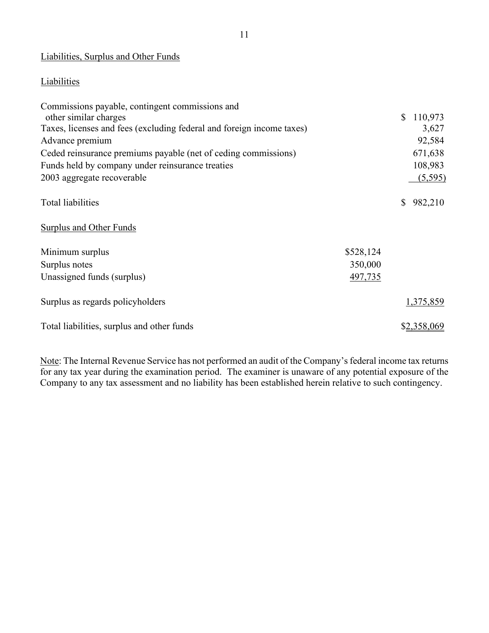## Liabilities, Surplus and Other Funds

## **Liabilities**

| Commissions payable, contingent commissions and                       |           |              |             |
|-----------------------------------------------------------------------|-----------|--------------|-------------|
| other similar charges                                                 |           | $\mathbb{S}$ | 110,973     |
| Taxes, licenses and fees (excluding federal and foreign income taxes) |           |              | 3,627       |
| Advance premium                                                       |           |              | 92,584      |
| Ceded reinsurance premiums payable (net of ceding commissions)        |           |              | 671,638     |
| Funds held by company under reinsurance treaties                      |           |              | 108,983     |
| 2003 aggregate recoverable                                            |           |              | (5,595)     |
| <b>Total liabilities</b>                                              |           | $\mathbb{S}$ | 982,210     |
| <b>Surplus and Other Funds</b>                                        |           |              |             |
| Minimum surplus                                                       | \$528,124 |              |             |
| Surplus notes                                                         | 350,000   |              |             |
| Unassigned funds (surplus)                                            | 497,735   |              |             |
| Surplus as regards policyholders                                      |           |              | 1,375,859   |
| Total liabilities, surplus and other funds                            |           |              | \$2,358,069 |

Note: The Internal Revenue Service has not performed an audit of the Company's federal income tax returns for any tax year during the examination period. The examiner is unaware of any potential exposure of the Company to any tax assessment and no liability has been established herein relative to such contingency.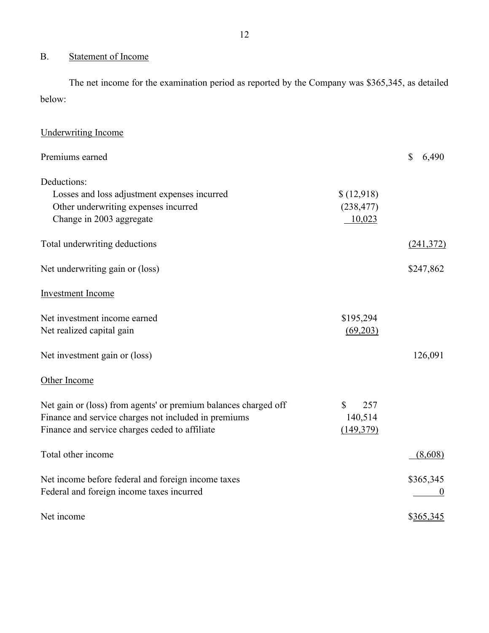# <span id="page-13-0"></span>B. Statement of Income

 The net income for the examination period as reported by the Company was \$365,345, as detailed below:

| <b>Underwriting Income</b>                                      |                     |                       |
|-----------------------------------------------------------------|---------------------|-----------------------|
| Premiums earned                                                 |                     | $\mathbb{S}$<br>6,490 |
| Deductions:                                                     |                     |                       |
| Losses and loss adjustment expenses incurred                    | \$(12,918)          |                       |
| Other underwriting expenses incurred                            | (238, 477)          |                       |
| Change in 2003 aggregate                                        | 10,023              |                       |
| Total underwriting deductions                                   |                     | (241,372)             |
| Net underwriting gain or (loss)                                 |                     | \$247,862             |
| <b>Investment</b> Income                                        |                     |                       |
| Net investment income earned                                    | \$195,294           |                       |
| Net realized capital gain                                       | (69,203)            |                       |
| Net investment gain or (loss)                                   |                     | 126,091               |
| Other Income                                                    |                     |                       |
| Net gain or (loss) from agents' or premium balances charged off | $\mathbb{S}$<br>257 |                       |
| Finance and service charges not included in premiums            | 140,514             |                       |
| Finance and service charges ceded to affiliate                  | (149,379)           |                       |
| Total other income                                              |                     | (8,608)               |
| Net income before federal and foreign income taxes              |                     | \$365,345             |
| Federal and foreign income taxes incurred                       |                     |                       |
| Net income                                                      |                     | \$365,345             |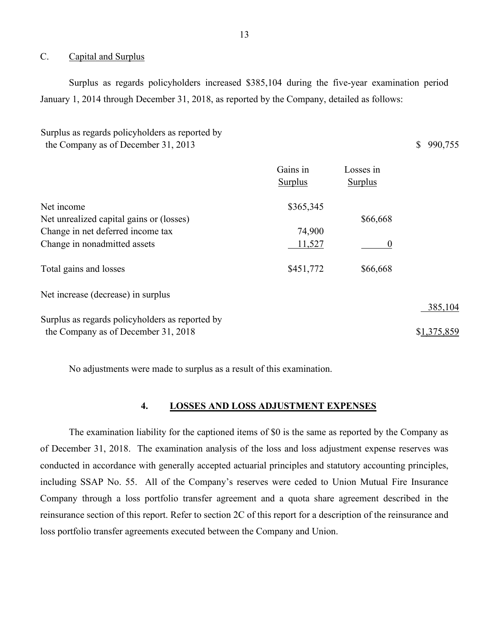#### <span id="page-14-0"></span>C. Capital and Surplus

 Surplus as regards policyholders increased \$385,104 during the five-year examination period January 1, 2014 through December 31, 2018, as reported by the Company, detailed as follows:

| Surplus as regards policyholders as reported by |           |
|-------------------------------------------------|-----------|
| the Company as of December 31, 2013             | \$990,755 |

|                                                 | Gains in<br>Surplus | Losses in<br><b>Surplus</b> |             |
|-------------------------------------------------|---------------------|-----------------------------|-------------|
| Net income                                      | \$365,345           |                             |             |
| Net unrealized capital gains or (losses)        |                     | \$66,668                    |             |
| Change in net deferred income tax               | 74,900              |                             |             |
| Change in nonadmitted assets                    | 11,527              | 0                           |             |
| Total gains and losses                          | \$451,772           | \$66,668                    |             |
| Net increase (decrease) in surplus              |                     |                             |             |
|                                                 |                     |                             | 385,104     |
| Surplus as regards policyholders as reported by |                     |                             |             |
| the Company as of December 31, 2018             |                     |                             | \$1,375,859 |

No adjustments were made to surplus as a result of this examination.

## **4. LOSSES AND LOSS ADJUSTMENT EXPENSES**

<span id="page-14-1"></span> The examination liability for the captioned items of \$0 is the same as reported by the Company as of December 31, 2018. The examination analysis of the loss and loss adjustment expense reserves was including SSAP No. 55. All of the Company's reserves were ceded to Union Mutual Fire Insurance conducted in accordance with generally accepted actuarial principles and statutory accounting principles, Company through a loss portfolio transfer agreement and a quota share agreement described in the reinsurance section of this report. Refer to section 2C of this report for a description of the reinsurance and loss portfolio transfer agreements executed between the Company and Union.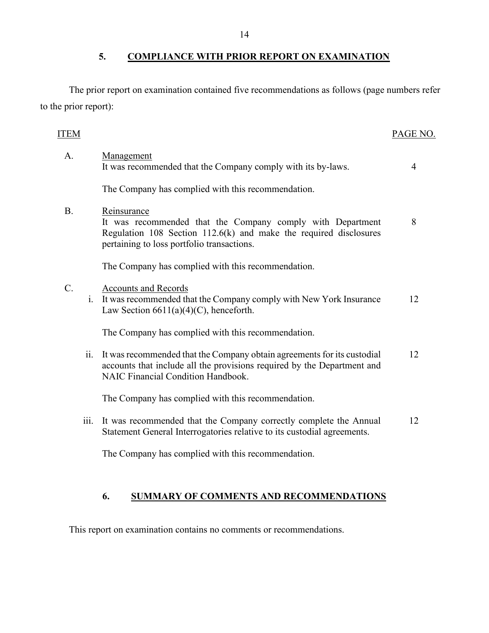<span id="page-15-0"></span>**5. COMPLIANCE WITH PRIOR REPORT ON EXAMINATION** 

The prior report on examination contained five recommendations as follows (page numbers refer to the prior report):

## ITEM PAGE NO.

| A.          |      | Management<br>It was recommended that the Company comply with its by-laws.                                                                                                                       | 4  |
|-------------|------|--------------------------------------------------------------------------------------------------------------------------------------------------------------------------------------------------|----|
|             |      | The Company has complied with this recommendation.                                                                                                                                               |    |
| <b>B.</b>   |      | Reinsurance<br>It was recommended that the Company comply with Department<br>Regulation $108$ Section $112.6(k)$ and make the required disclosures<br>pertaining to loss portfolio transactions. | 8  |
|             |      | The Company has complied with this recommendation.                                                                                                                                               |    |
| $C_{\cdot}$ | 1.   | <b>Accounts and Records</b><br>It was recommended that the Company comply with New York Insurance<br>Law Section $6611(a)(4)(C)$ , henceforth.                                                   | 12 |
|             |      | The Company has complied with this recommendation.                                                                                                                                               |    |
|             | ii.  | It was recommended that the Company obtain agreements for its custodial<br>accounts that include all the provisions required by the Department and<br>NAIC Financial Condition Handbook.         | 12 |
|             |      | The Company has complied with this recommendation.                                                                                                                                               |    |
|             | iii. | It was recommended that the Company correctly complete the Annual<br>Statement General Interrogatories relative to its custodial agreements.                                                     | 12 |
|             |      | The Company has complied with this recommendation.                                                                                                                                               |    |

## **6. SUMMARY OF COMMENTS AND RECOMMENDATIONS**

<span id="page-15-1"></span>This report on examination contains no comments or recommendations.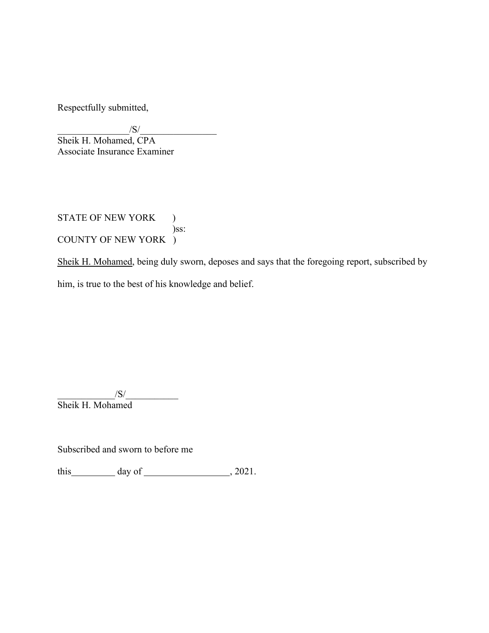Respectfully submitted,

 $/S/$ 

Sheik H. Mohamed, CPA Associate Insurance Examiner

STATE OF NEW YORK ) )ss: COUNTY OF NEW YORK )

Sheik H. Mohamed, being duly sworn, deposes and says that the foregoing report, subscribed by him, is true to the best of his knowledge and belief.

 $\sqrt{S}/$ Sheik H. Mohamed

Subscribed and sworn to before me

this  $\qquad \qquad \text{day of} \qquad \qquad .2021.$